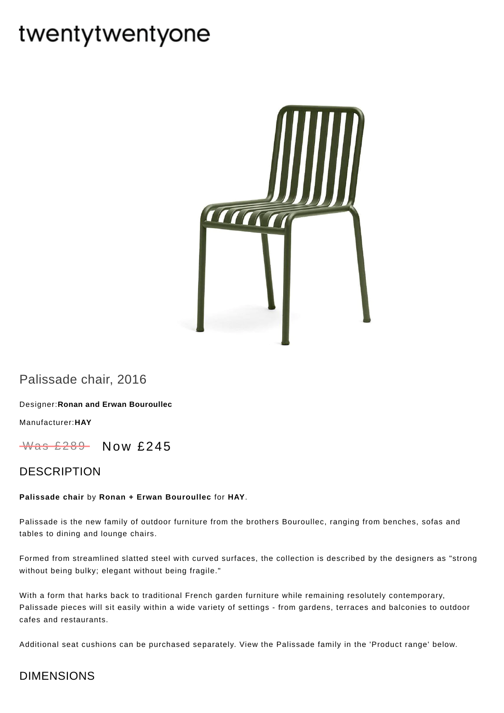# twentytwentyone



Palissade chair, 2016

Designer:**Ronan and Erwan [Bouroullec](https://www.twentytwentyone.com/collections/designers-ronan-and-erwan-bouroullec)**

[Manufacturer:](https://www.twentytwentyone.com/collections/manufacturers-hay)**HAY**

 $W$ as £289 Now £245

#### DESCRIPTION

#### **Palissade chair** by **Ronan + Erwan [Bouroullec](http://twentytwentyone.com/designer/ronan-erwan-bouroullec)** for **[HAY](http://twentytwentyone.com/manufacturer/hay)**.

Palissade is the new family of outdoor furniture from the brothers Bouroullec, ranging from benches, sofas and tables to dining and lounge chairs.

Formed from streamlined slatted steel with curved surfaces, the collection is described by the designers as "strong without being bulky; elegant without being fragile."

With a form that harks back to traditional French garden furniture while remaining resolutely contemporary, Palissade pieces will sit easily within a wide variety of settings - from gardens, terraces and balconies to outdoor cafes and restaurants.

Additional [seat](https://www.twentytwentyone.com/products/hay-ronan-and-erwan-bouroullec-palissade-seat-cushions) cushions can be purchased separately. View the Palissade family in the 'Product range' below.

## DIMENSIONS